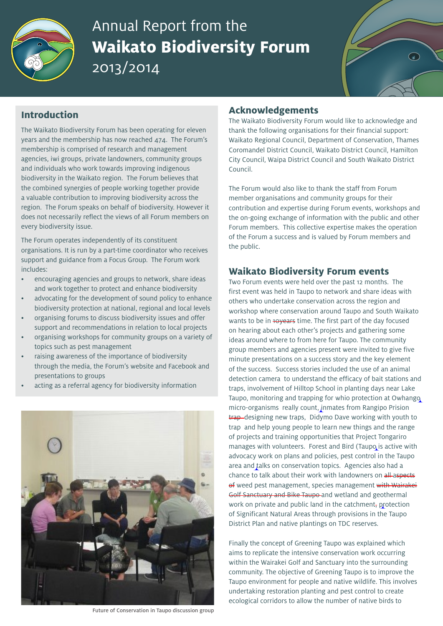

# Annual Report from the **Waikato Biodiversity Forum** 2013/2014



## **Introduction**

The Waikato Biodiversity Forum has been operating for eleven years and the membership has now reached 474. The Forum's membership is comprised of research and management agencies, iwi groups, private landowners, community groups and individuals who work towards improving indigenous biodiversity in the Waikato region. The Forum believes that the combined synergies of people working together provide a valuable contribution to improving biodiversity across the region. The Forum speaks on behalf of biodiversity. However it does not necessarily reflect the views of all Forum members on every biodiversity issue.

The Forum operates independently of its constituent organisations. It is run by a part-time coordinator who receives support and guidance from a Focus Group. The Forum work includes:

- encouraging agencies and groups to network, share ideas and work together to protect and enhance biodiversity
- advocating for the development of sound policy to enhance biodiversity protection at national, regional and local levels
- organising forums to discuss biodiversity issues and offer support and recommendations in relation to local projects
- organising workshops for community groups on a variety of topics such as pest management
- raising awareness of the importance of biodiversity through the media, the Forum's website and Facebook and presentations to groups
- acting as a referral agency for biodiversity information



Future of Conservation in Taupo discussion group

## **Acknowledgements**

The Waikato Biodiversity Forum would like to acknowledge and thank the following organisations for their financial support: Waikato Regional Council, Department of Conservation, Thames Coromandel District Council, Waikato District Council, Hamilton City Council, Waipa District Council and South Waikato District Council.

The Forum would also like to thank the staff from Forum member organisations and community groups for their contribution and expertise during Forum events, workshops and the on-going exchange of information with the public and other Forum members. This collective expertise makes the operation of the Forum a success and is valued by Forum members and the public.

### **Waikato Biodiversity Forum events**

Two Forum events were held over the past 12 months. The first event was held in Taupo to network and share ideas with others who undertake conservation across the region and workshop where conservation around Taupo and South Waikato wants to be in 10years time. The first part of the day focused on hearing about each other's projects and gathering some ideas around where to from here for Taupo. The community group members and agencies present were invited to give five minute presentations on a success story and the key element of the success. Success stories included the use of an animal detection camera to understand the efficacy of bait stations and traps, involvement of Hilltop School in planting days near Lake Taupo, monitoring and trapping for whio protection at Owhango micro-organisms really count, inmates from Rangipo Prision trap designing new traps, Didymo Dave working with youth to trap and help young people to learn new things and the range of projects and training opportunities that Project Tongariro manages with volunteers. Forest and Bird (Taupo is active with advocacy work on plans and policies, pest control in the Taupo area and talks on conservation topics. Agencies also had a chance to talk about their work with landowners on all aspects of weed pest management, species management with Wairakei Golf Sanctuary and Bike Taupo and wetland and geothermal work on private and public land in the catchment, protection of Significant Natural Areas through provisions in the Taupo District Plan and native plantings on TDC reserves.

Finally the concept of Greening Taupo was explained which aims to replicate the intensive conservation work occurring within the Wairakei Golf and Sanctuary into the surrounding community. The objective of Greening Taupo is to improve the Taupo environment for people and native wildlife. This involves undertaking restoration planting and pest control to create ecological corridors to allow the number of native birds to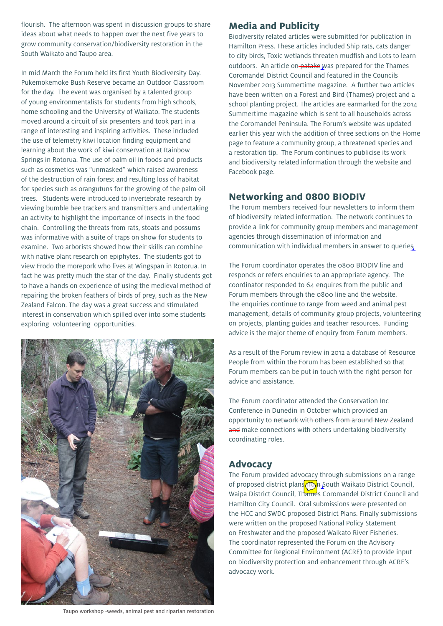flourish. The afternoon was spent in discussion groups to share ideas about what needs to happen over the next five years to grow community conservation/biodiversity restoration in the South Waikato and Taupo area.

In mid March the Forum held its first Youth Biodiversity Day. Pukemokemoke Bush Reserve became an Outdoor Classroom for the day. The event was organised by a talented group of young environmentalists for students from high schools, home schooling and the University of Waikato. The students moved around a circuit of six presenters and took part in a range of interesting and inspiring activities. These included the use of telemetry kiwi location finding equipment and learning about the work of kiwi conservation at Rainbow Springs in Rotorua. The use of palm oil in foods and products such as cosmetics was "unmasked" which raised awareness of the destruction of rain forest and resulting loss of habitat for species such as orangutuns for the growing of the palm oil trees. Students were introduced to invertebrate research by viewing bumble bee trackers and transmitters and undertaking an activity to highlight the importance of insects in the food chain. Controlling the threats from rats, stoats and possums was informative with a suite of traps on show for students to examine. Two arborists showed how their skills can combine with native plant research on epiphytes. The students got to view Frodo the morepork who lives at Wingspan in Rotorua. In fact he was pretty much the star of the day. Finally students got to have a hands on experience of using the medieval method of repairing the broken feathers of birds of prey, such as the New Zealand Falcon. The day was a great success and stimulated interest in conservation which spilled over into some students exploring volunteering opportunities.



# **Media and Publicity**

Biodiversity related articles were submitted for publication in Hamilton Press. These articles included Ship rats, cats danger to city birds, Toxic wetlands threaten mudfish and Lots to learn outdoors. An article on-patake was prepared for the Thames Coromandel District Council and featured in the Councils November 2013 Summertime magazine. A further two articles have been written on a Forest and Bird (Thames) project and a school planting project. The articles are earmarked for the 2014 Summertime magazine which is sent to all households across the Coromandel Peninsula. The Forum's website was updated earlier this year with the addition of three sections on the Home page to feature a community group, a threatened species and a restoration tip. The Forum continues to publicise its work and biodiversity related information through the website and Facebook page.

### **Networking and 0800 BIODIV**

The Forum members received four newsletters to inform them of biodiversity related information. The network continues to provide a link for community group members and management agencies through dissemination of information and communication with individual members in answer to queries

The Forum coordinator operates the 0800 BIODIV line and responds or refers enquiries to an appropriate agency. The coordinator responded to 64 enquires from the public and Forum members through the 0800 line and the website. The enquiries continue to range from weed and animal pest management, details of community group projects, volunteering on projects, planting guides and teacher resources. Funding advice is the major theme of enquiry from Forum members.

As a result of the Forum review in 2012 a database of Resource People from within the Forum has been established so that Forum members can be put in touch with the right person for advice and assistance.

The Forum coordinator attended the Conservation Inc Conference in Dunedin in October which provided an opportunity to network with others from around New Zealand and make connections with others undertaking biodiversity coordinating roles.

# **Advocacy**

The Forum provided advocacy through submissions on a range of proposed district plans  $f(x)$  South Waikato District Council, Waipa District Council, Thames Coromandel District Council and Hamilton City Council. Oral submissions were presented on the HCC and SWDC proposed District Plans. Finally submissions were written on the proposed National Policy Statement on Freshwater and the proposed Waikato River Fisheries. The coordinator represented the Forum on the Advisory Committee for Regional Environment (ACRE) to provide input on biodiversity protection and enhancement through ACRE's advocacy work.

Taupo workshop -weeds, animal pest and riparian restoration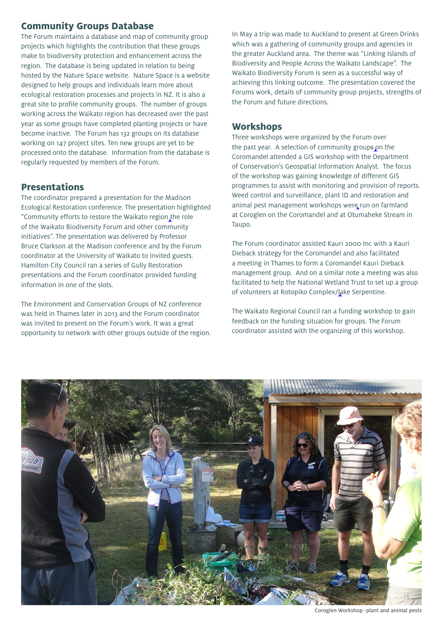# **Community Groups Database**

The Forum maintains a database and map of community group projects which highlights the contribution that these groups make to biodiversity protection and enhancement across the region. The database is being updated in relation to being hosted by the Nature Space website. Nature Space is a website designed to help groups and individuals learn more about ecological restoration processes and projects in NZ. It is also a great site to profile community groups. The number of groups working across the Waikato region has decreased over the past year as some groups have completed planting projects or have become inactive. The Forum has 132 groups on its database working on 147 project sites. Ten new groups are yet to be processed onto the database. Information from the database is regularly requested by members of the Forum.

## **Presentations**

The coordinator prepared a presentation for the Madison Ecological Restoration conference. The presentation highlighted "Community efforts to restore the Waikato region the role of the Waikato Biodiversity Forum and other community initiatives". The presentation was delivered by Professor Bruce Clarkson at the Madison conference and by the Forum coordinator at the University of Waikato to invited guests. Hamilton City Council ran a series of Gully Restoration presentations and the Forum coordinator provided funding information in one of the slots.

The Environment and Conservation Groups of NZ conference was held in Thames later in 2013 and the Forum coordinator was invited to present on the Forum's work. It was a great opportunity to network with other groups outside of the region. In May a trip was made to Auckland to present at Green Drinks which was a gathering of community groups and agencies in the greater Auckland area. The theme was "Linking Islands of Biodiversity and People Across the Waikato Landscape". The Waikato Biodiversity Forum is seen as a successful way of achieving this linking outcome. The presentation covered the Forums work, details of community group projects, strengths of the Forum and future directions.

## **Workshops**

Three workshops were organized by the Forum over the past year. A selection of community groups on the Coromandel attended a GIS workshop with the Department of Conservation's Geospatial Information Analyst. The focus of the workshop was gaining knowledge of different GIS programmes to assist with monitoring and provision of reports. Weed control and surveillance, plant ID and restoration and animal pest management workshops were run on farmland at Coroglen on the Coromandel and at Otumaheke Stream in Taupo.

The Forum coordinator assisted Kauri 2000 Inc with a Kauri Dieback strategy for the Coromandel and also facilitated a meeting in Thames to form a Coromandel Kauri Dieback management group. And on a similar note a meeting was also facilitated to help the National Wetland Trust to set up a group of volunteers at Rotopiko Complex/lake Serpentine.

The Waikato Regional Council ran a funding workshop to gain feedback on the funding situation for groups. The Forum coordinator assisted with the organizing of this workshop.



Coroglen Workshop -plant and animal pests